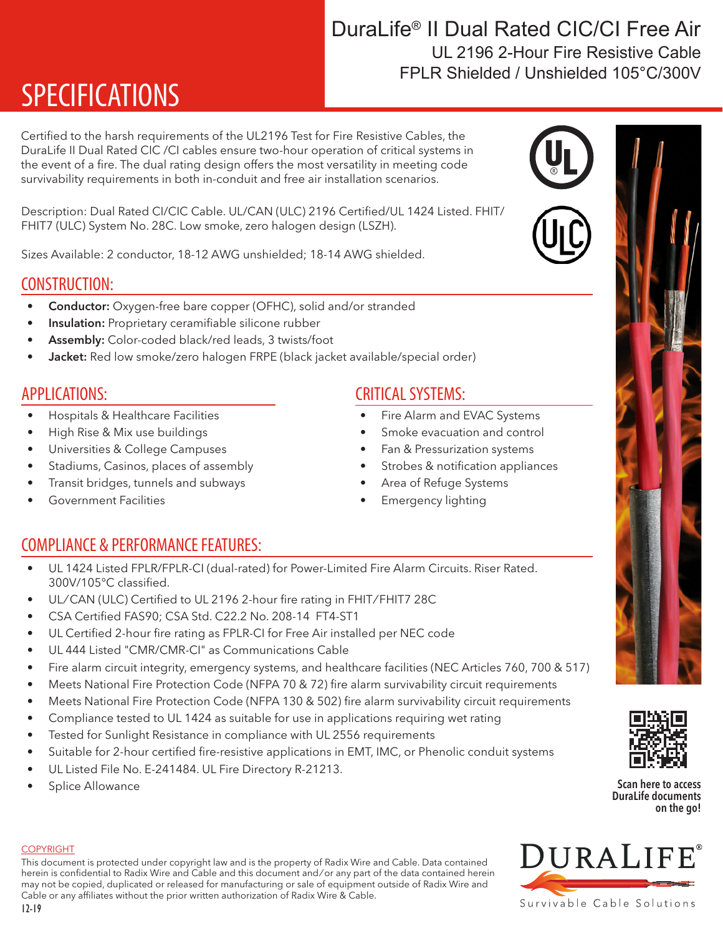# SPECIFICATIONS

Certified to the harsh requirements of the UL2196 Test for Fire Resistive Cables, the DuraLife II Dual Rated CIC /CI cables ensure two-hour operation of critical systems in the event of a fire. The dual rating design offers the most versatility in meeting code survivability requirements in both in-conduit and free air installation scenarios.

Description: Dual Rated CI/CIC Cable. UL/CAN (ULC) 2196 Certified/UL 1424 Listed. FHIT/ FHIT7 (ULC) System No. 28C. Low smoke, zero halogen design (LSZH).

Sizes Available: 2 conductor, 18-12 AWG unshielded; 18-14 AWG shielded.

### CONSTRUCTION:

- Conductor: Oxygen-free bare copper (OFHC), solid and/or stranded
- Insulation: Proprietary ceramifiable silicone rubber
- Assembly: Color-coded black/red leads, 3 twists/foot
- Jacket: Red low smoke/zero halogen FRPE (black jacket available/special order)

## APPLICATIONS:

- Hospitals & Healthcare Facilities
- High Rise & Mix use buildings
- Universities & College Campuses
- Stadiums, Casinos, places of assembly
- Transit bridges, tunnels and subways
- Government Facilities

# COMPLIANCE & PERFORMANCE FEATURES:

- UL 1424 Listed FPLR/FPLR-CI (dual-rated) for Power-Limited Fire Alarm Circuits. Riser Rated. 300V/105°C classified.
- UL/CAN (ULC) Certified to UL 2196 2-hour fire rating in FHIT/FHIT7 28C
- CSA Certified FAS90; CSA Std. C22.2 No. 208-14 FT4-ST1
- UL Certified 2-hour fire rating as FPLR-CI for Free Air installed per NEC code
- UL 444 Listed "CMR/CMR-CI" as Communications Cable
- Fire alarm circuit integrity, emergency systems, and healthcare facilities (NEC Articles 760, 700 & 517)
- Meets National Fire Protection Code (NFPA 70 & 72) fire alarm survivability circuit requirements
- Meets National Fire Protection Code (NFPA 130 & 502) fire alarm survivability circuit requirements
- Compliance tested to UL 1424 as suitable for use in applications requiring wet rating
- Tested for Sunlight Resistance in compliance with UL 2556 requirements
- Suitable for 2-hour certified fire-resistive applications in EMT, IMC, or Phenolic conduit systems
- UL Listed File No. E-241484. UL Fire Directory R-21213.
- Splice Allowance

# CRITICAL SYSTEMS:

- Fire Alarm and EVAC Systems
- Smoke evacuation and control
- Fan & Pressurization systems
- Strobes & notification appliances
- Area of Refuge Systems
- Emergency lighting

## DuraLife® II Dual Rated CIC/CI Free Air FPLR Shielded / Unshielded 105°C/300V UL 2196 2-Hour Fire Resistive Cable



DuraLife documents on the go!



#### **COPYRIGHT**

This document is protected under copyright law and is the property of Radix Wire and Cable. Data contained herein is confidential to Radix Wire and Cable and this document and / or any part of the data contained herein may not be copied, duplicated or released for manufacturing or sale of equipment outside of Radix Wire and Cable or any affiliates without the prior written authorization of Radix Wire & Cable.